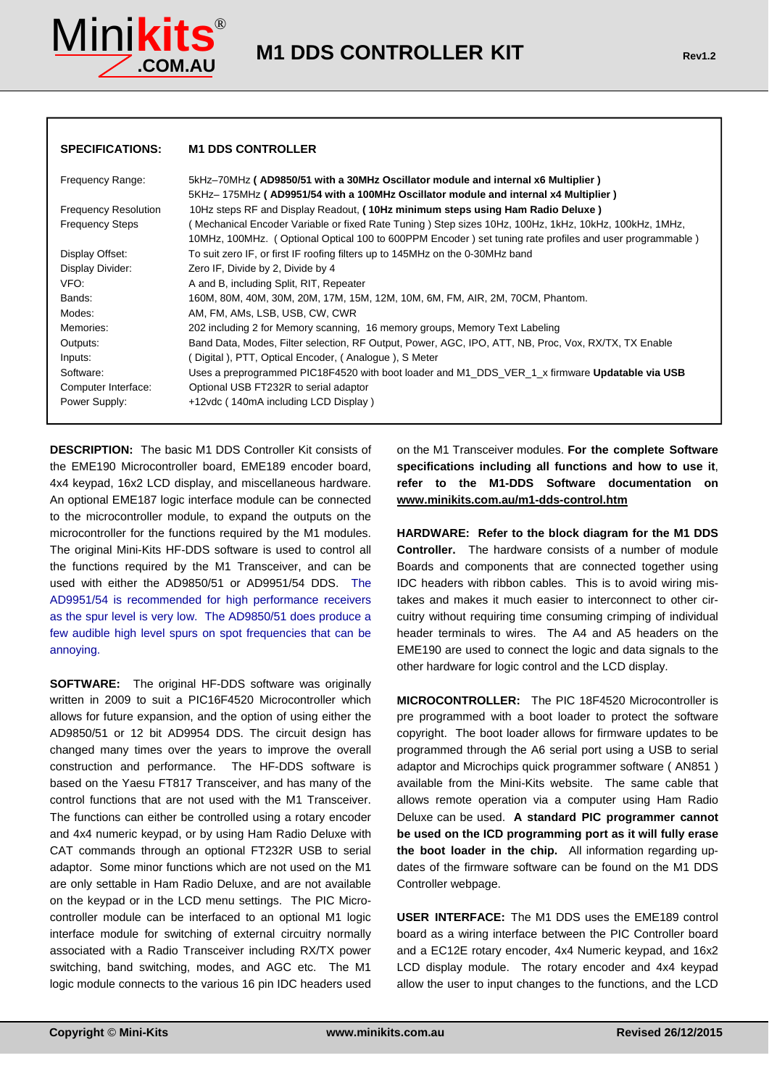

| <b>SPECIFICATIONS:</b>      | <b>M1 DDS CONTROLLER</b>                                                                                |
|-----------------------------|---------------------------------------------------------------------------------------------------------|
| Frequency Range:            | 5kHz-70MHz (AD9850/51 with a 30MHz Oscillator module and internal x6 Multiplier)                        |
|                             | 5KHz-175MHz (AD9951/54 with a 100MHz Oscillator module and internal x4 Multiplier)                      |
| <b>Frequency Resolution</b> | 10Hz steps RF and Display Readout, (10Hz minimum steps using Ham Radio Deluxe)                          |
| <b>Frequency Steps</b>      | ( Mechanical Encoder Variable or fixed Rate Tuning ) Step sizes 10Hz, 100Hz, 1kHz, 10kHz, 100kHz, 1MHz, |
|                             | 10MHz, 100MHz. (Optional Optical 100 to 600PPM Encoder) set tuning rate profiles and user programmable) |
| Display Offset:             | To suit zero IF, or first IF roofing filters up to 145MHz on the 0-30MHz band                           |
| Display Divider:            | Zero IF, Divide by 2, Divide by 4                                                                       |
| VFO:                        | A and B, including Split, RIT, Repeater                                                                 |
| Bands:                      | 160M, 80M, 40M, 30M, 20M, 17M, 15M, 12M, 10M, 6M, FM, AIR, 2M, 70CM, Phantom.                           |
| Modes:                      | AM, FM, AMs, LSB, USB, CW, CWR                                                                          |
| Memories:                   | 202 including 2 for Memory scanning, 16 memory groups, Memory Text Labeling                             |
| Outputs:                    | Band Data, Modes, Filter selection, RF Output, Power, AGC, IPO, ATT, NB, Proc, Vox, RX/TX, TX Enable    |
| Inputs:                     | ( Digital ), PTT, Optical Encoder, ( Analogue ), S Meter                                                |
| Software:                   | Uses a preprogrammed PIC18F4520 with boot loader and M1 DDS VER 1 x firmware Updatable via USB          |
| Computer Interface:         | Optional USB FT232R to serial adaptor                                                                   |
| Power Supply:               | +12vdc (140mA including LCD Display)                                                                    |

**DESCRIPTION:** The basic M1 DDS Controller Kit consists of the EME190 Microcontroller board, EME189 encoder board, 4x4 keypad, 16x2 LCD display, and miscellaneous hardware. An optional EME187 logic interface module can be connected to the microcontroller module, to expand the outputs on the microcontroller for the functions required by the M1 modules. The original Mini-Kits HF-DDS software is used to control all the functions required by the M1 Transceiver, and can be used with either the AD9850/51 or AD9951/54 DDS. The AD9951/54 is recommended for high performance receivers as the spur level is very low. The AD9850/51 does produce a few audible high level spurs on spot frequencies that can be annoying.

**SOFTWARE:** The original HF-DDS software was originally written in 2009 to suit a PIC16F4520 Microcontroller which allows for future expansion, and the option of using either the AD9850/51 or 12 bit AD9954 DDS. The circuit design has changed many times over the years to improve the overall construction and performance. The HF-DDS software is based on the Yaesu FT817 Transceiver, and has many of the control functions that are not used with the M1 Transceiver. The functions can either be controlled using a rotary encoder and 4x4 numeric keypad, or by using Ham Radio Deluxe with CAT commands through an optional FT232R USB to serial adaptor. Some minor functions which are not used on the M1 are only settable in Ham Radio Deluxe, and are not available on the keypad or in the LCD menu settings. The PIC Microcontroller module can be interfaced to an optional M1 logic interface module for switching of external circuitry normally associated with a Radio Transceiver including RX/TX power switching, band switching, modes, and AGC etc. The M1 logic module connects to the various 16 pin IDC headers used

on the M1 Transceiver modules. **For the complete Software specifications including all functions and how to use it**, **refer to the M1-DDS Software documentation on www.minikits.com.au/m1-dds-control.htm**

**HARDWARE: Refer to the block diagram for the M1 DDS Controller.** The hardware consists of a number of module Boards and components that are connected together using IDC headers with ribbon cables. This is to avoid wiring mistakes and makes it much easier to interconnect to other circuitry without requiring time consuming crimping of individual header terminals to wires. The A4 and A5 headers on the EME190 are used to connect the logic and data signals to the other hardware for logic control and the LCD display.

**MICROCONTROLLER:** The PIC 18F4520 Microcontroller is pre programmed with a boot loader to protect the software copyright. The boot loader allows for firmware updates to be programmed through the A6 serial port using a USB to serial adaptor and Microchips quick programmer software ( AN851 ) available from the Mini-Kits website. The same cable that allows remote operation via a computer using Ham Radio Deluxe can be used. **A standard PIC programmer cannot be used on the ICD programming port as it will fully erase the boot loader in the chip.** All information regarding updates of the firmware software can be found on the M1 DDS Controller webpage.

**USER INTERFACE:** The M1 DDS uses the EME189 control board as a wiring interface between the PIC Controller board and a EC12E rotary encoder, 4x4 Numeric keypad, and 16x2 LCD display module. The rotary encoder and 4x4 keypad allow the user to input changes to the functions, and the LCD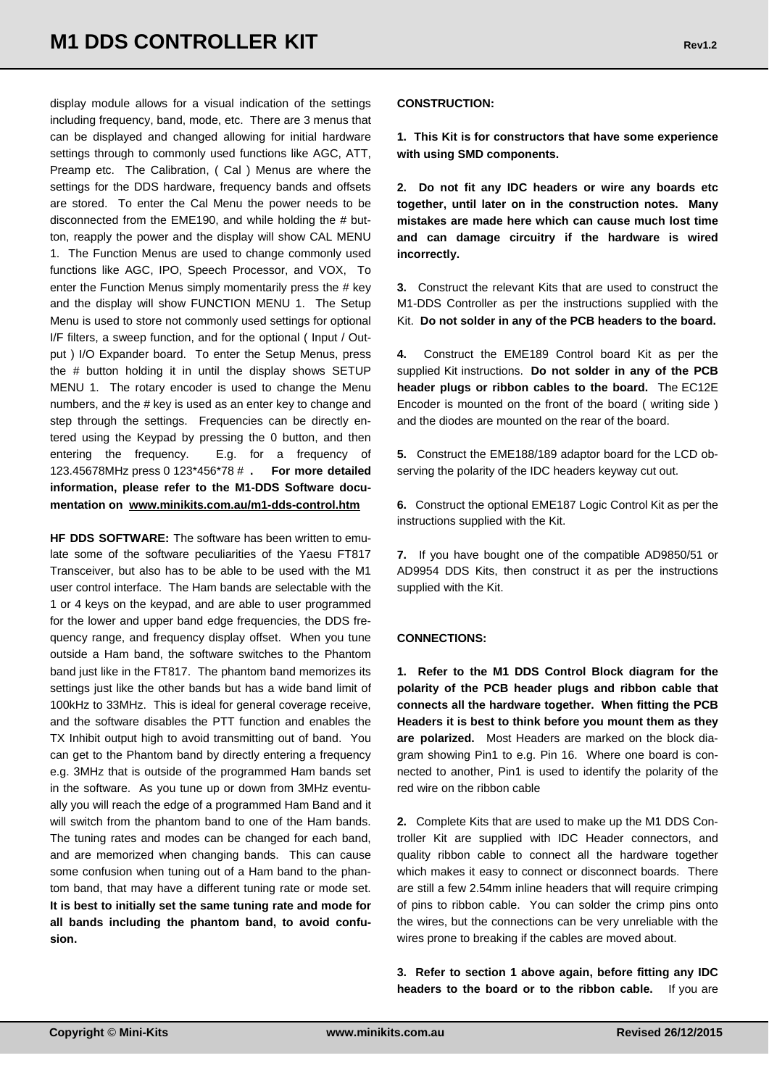display module allows for a visual indication of the settings including frequency, band, mode, etc. There are 3 menus that can be displayed and changed allowing for initial hardware settings through to commonly used functions like AGC, ATT, Preamp etc. The Calibration, ( Cal ) Menus are where the settings for the DDS hardware, frequency bands and offsets are stored. To enter the Cal Menu the power needs to be disconnected from the EME190, and while holding the # button, reapply the power and the display will show CAL MENU 1. The Function Menus are used to change commonly used functions like AGC, IPO, Speech Processor, and VOX, To enter the Function Menus simply momentarily press the # key and the display will show FUNCTION MENU 1. The Setup Menu is used to store not commonly used settings for optional I/F filters, a sweep function, and for the optional ( Input / Output ) I/O Expander board. To enter the Setup Menus, press the # button holding it in until the display shows SETUP MENU 1. The rotary encoder is used to change the Menu numbers, and the # key is used as an enter key to change and step through the settings. Frequencies can be directly entered using the Keypad by pressing the 0 button, and then entering the frequency. E.g. for a frequency of 123.45678MHz press 0 123\*456\*78 # **. For more detailed information, please refer to the M1-DDS Software documentation on www.minikits.com.au/m1-dds-control.htm**

**HF DDS SOFTWARE:** The software has been written to emulate some of the software peculiarities of the Yaesu FT817 Transceiver, but also has to be able to be used with the M1 user control interface. The Ham bands are selectable with the 1 or 4 keys on the keypad, and are able to user programmed for the lower and upper band edge frequencies, the DDS frequency range, and frequency display offset. When you tune outside a Ham band, the software switches to the Phantom band just like in the FT817. The phantom band memorizes its settings just like the other bands but has a wide band limit of 100kHz to 33MHz. This is ideal for general coverage receive, and the software disables the PTT function and enables the TX Inhibit output high to avoid transmitting out of band. You can get to the Phantom band by directly entering a frequency e.g. 3MHz that is outside of the programmed Ham bands set in the software. As you tune up or down from 3MHz eventually you will reach the edge of a programmed Ham Band and it will switch from the phantom band to one of the Ham bands. The tuning rates and modes can be changed for each band, and are memorized when changing bands. This can cause some confusion when tuning out of a Ham band to the phantom band, that may have a different tuning rate or mode set. **It is best to initially set the same tuning rate and mode for all bands including the phantom band, to avoid confusion.** 

#### **CONSTRUCTION:**

**1. This Kit is for constructors that have some experience with using SMD components.** 

**2. Do not fit any IDC headers or wire any boards etc together, until later on in the construction notes. Many mistakes are made here which can cause much lost time and can damage circuitry if the hardware is wired incorrectly.** 

**3.** Construct the relevant Kits that are used to construct the M1-DDS Controller as per the instructions supplied with the Kit. **Do not solder in any of the PCB headers to the board.** 

**4.** Construct the EME189 Control board Kit as per the supplied Kit instructions. **Do not solder in any of the PCB header plugs or ribbon cables to the board.** The EC12E Encoder is mounted on the front of the board ( writing side ) and the diodes are mounted on the rear of the board.

**5.** Construct the EME188/189 adaptor board for the LCD observing the polarity of the IDC headers keyway cut out.

**6.** Construct the optional EME187 Logic Control Kit as per the instructions supplied with the Kit.

**7.** If you have bought one of the compatible AD9850/51 or AD9954 DDS Kits, then construct it as per the instructions supplied with the Kit.

#### **CONNECTIONS:**

**1. Refer to the M1 DDS Control Block diagram for the polarity of the PCB header plugs and ribbon cable that connects all the hardware together. When fitting the PCB Headers it is best to think before you mount them as they are polarized.** Most Headers are marked on the block diagram showing Pin1 to e.g. Pin 16. Where one board is connected to another, Pin1 is used to identify the polarity of the red wire on the ribbon cable

**2.** Complete Kits that are used to make up the M1 DDS Controller Kit are supplied with IDC Header connectors, and quality ribbon cable to connect all the hardware together which makes it easy to connect or disconnect boards. There are still a few 2.54mm inline headers that will require crimping of pins to ribbon cable. You can solder the crimp pins onto the wires, but the connections can be very unreliable with the wires prone to breaking if the cables are moved about.

**3. Refer to section 1 above again, before fitting any IDC headers to the board or to the ribbon cable.** If you are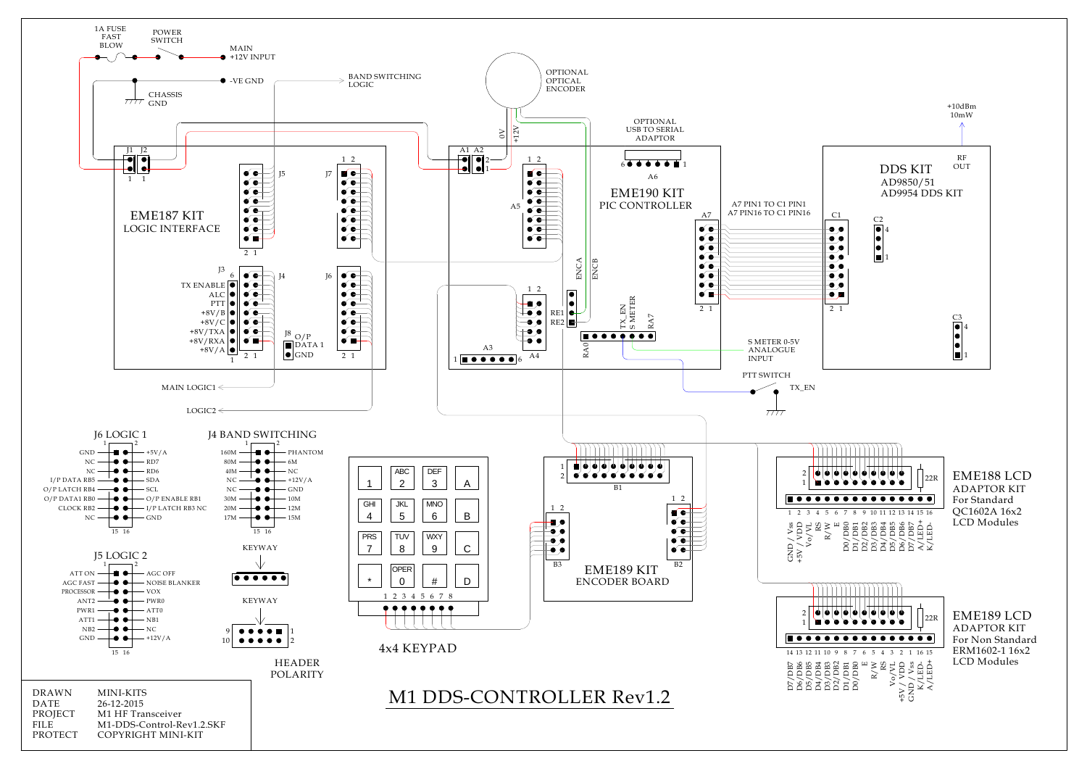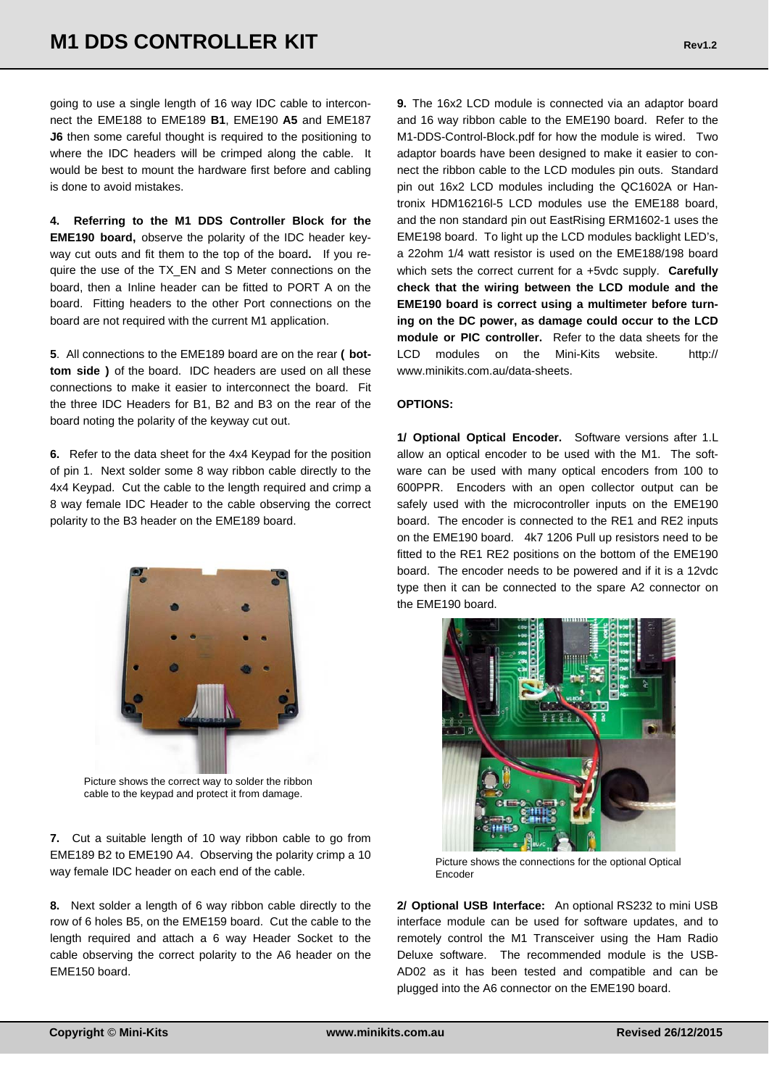going to use a single length of 16 way IDC cable to interconnect the EME188 to EME189 **B1**, EME190 **A5** and EME187 **J6** then some careful thought is required to the positioning to where the IDC headers will be crimped along the cable. It would be best to mount the hardware first before and cabling is done to avoid mistakes.

**4. Referring to the M1 DDS Controller Block for the EME190 board,** observe the polarity of the IDC header keyway cut outs and fit them to the top of the board**.** If you require the use of the TX\_EN and S Meter connections on the board, then a Inline header can be fitted to PORT A on the board. Fitting headers to the other Port connections on the board are not required with the current M1 application.

**5**. All connections to the EME189 board are on the rear **( bottom side )** of the board. IDC headers are used on all these connections to make it easier to interconnect the board. Fit the three IDC Headers for B1, B2 and B3 on the rear of the board noting the polarity of the keyway cut out.

**6.** Refer to the data sheet for the 4x4 Keypad for the position of pin 1. Next solder some 8 way ribbon cable directly to the 4x4 Keypad. Cut the cable to the length required and crimp a 8 way female IDC Header to the cable observing the correct polarity to the B3 header on the EME189 board.



Picture shows the correct way to solder the ribbon cable to the keypad and protect it from damage.

**7.** Cut a suitable length of 10 way ribbon cable to go from EME189 B2 to EME190 A4. Observing the polarity crimp a 10 way female IDC header on each end of the cable.

**8.** Next solder a length of 6 way ribbon cable directly to the row of 6 holes B5, on the EME159 board. Cut the cable to the length required and attach a 6 way Header Socket to the cable observing the correct polarity to the A6 header on the EME150 board.

**9.** The 16x2 LCD module is connected via an adaptor board and 16 way ribbon cable to the EME190 board. Refer to the M1-DDS-Control-Block.pdf for how the module is wired.Two adaptor boards have been designed to make it easier to connect the ribbon cable to the LCD modules pin outs. Standard pin out 16x2 LCD modules including the QC1602A or Hantronix HDM16216l-5 LCD modules use the EME188 board, and the non standard pin out EastRising ERM1602-1 uses the EME198 board. To light up the LCD modules backlight LED's, a 22ohm 1/4 watt resistor is used on the EME188/198 board which sets the correct current for a +5vdc supply. **Carefully check that the wiring between the LCD module and the EME190 board is correct using a multimeter before turning on the DC power, as damage could occur to the LCD module or PIC controller.** Refer to the data sheets for the LCD modules on the Mini-Kits website. http:// www.minikits.com.au/data-sheets.

#### **OPTIONS:**

**1/ Optional Optical Encoder.** Software versions after 1.L allow an optical encoder to be used with the M1. The software can be used with many optical encoders from 100 to 600PPR. Encoders with an open collector output can be safely used with the microcontroller inputs on the EME190 board. The encoder is connected to the RE1 and RE2 inputs on the EME190 board. 4k7 1206 Pull up resistors need to be fitted to the RE1 RE2 positions on the bottom of the EME190 board. The encoder needs to be powered and if it is a 12vdc type then it can be connected to the spare A2 connector on the EME190 board.



Picture shows the connections for the optional Optical Encoder

**2/ Optional USB Interface:** An optional RS232 to mini USB interface module can be used for software updates, and to remotely control the M1 Transceiver using the Ham Radio Deluxe software. The recommended module is the USB-AD02 as it has been tested and compatible and can be plugged into the A6 connector on the EME190 board.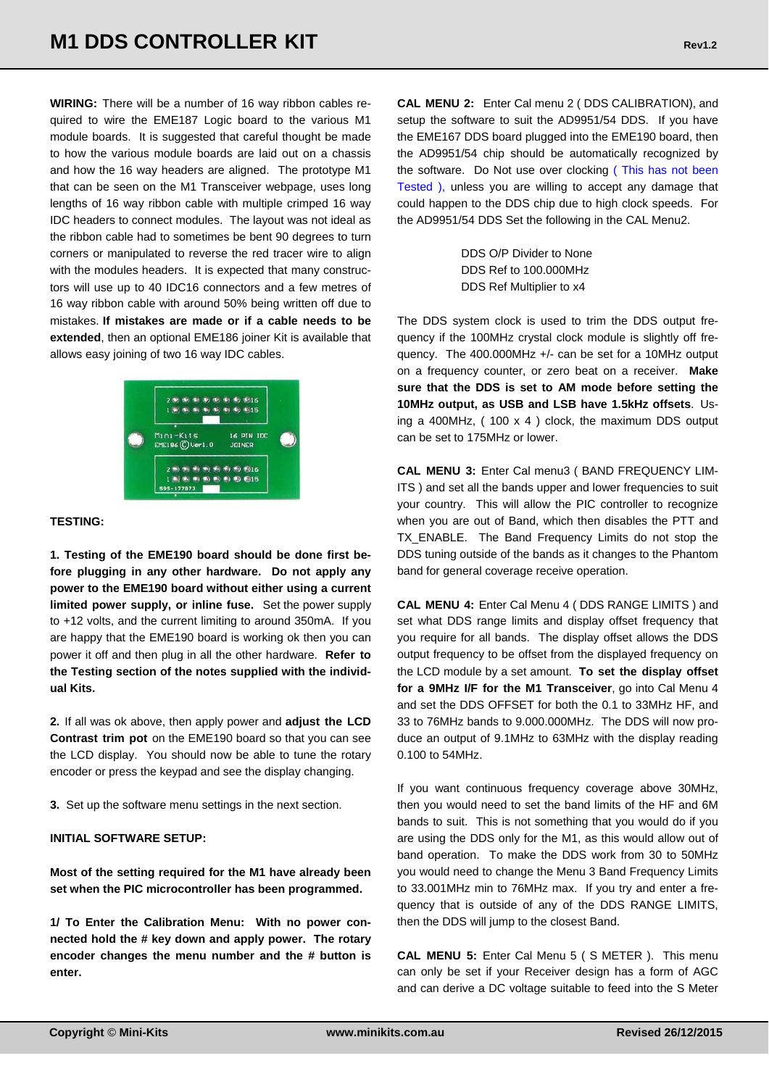**WIRING:** There will be a number of 16 way ribbon cables required to wire the EME187 Logic board to the various M1 module boards. It is suggested that careful thought be made to how the various module boards are laid out on a chassis and how the 16 way headers are aligned. The prototype M1 that can be seen on the M1 Transceiver webpage, uses long lengths of 16 way ribbon cable with multiple crimped 16 way IDC headers to connect modules. The layout was not ideal as the ribbon cable had to sometimes be bent 90 degrees to turn corners or manipulated to reverse the red tracer wire to align with the modules headers. It is expected that many constructors will use up to 40 IDC16 connectors and a few metres of 16 way ribbon cable with around 50% being written off due to mistakes. **If mistakes are made or if a cable needs to be extended**, then an optional EME186 joiner Kit is available that allows easy joining of two 16 way IDC cables.



#### **TESTING:**

**1. Testing of the EME190 board should be done first before plugging in any other hardware. Do not apply any power to the EME190 board without either using a current limited power supply, or inline fuse.** Set the power supply to +12 volts, and the current limiting to around 350mA. If you are happy that the EME190 board is working ok then you can power it off and then plug in all the other hardware. **Refer to the Testing section of the notes supplied with the individual Kits.** 

**2.** If all was ok above, then apply power and **adjust the LCD Contrast trim pot** on the EME190 board so that you can see the LCD display. You should now be able to tune the rotary encoder or press the keypad and see the display changing.

**3.** Set up the software menu settings in the next section.

#### **INITIAL SOFTWARE SETUP:**

**Most of the setting required for the M1 have already been set when the PIC microcontroller has been programmed.** 

**1/ To Enter the Calibration Menu: With no power connected hold the # key down and apply power. The rotary encoder changes the menu number and the # button is enter.** 

**CAL MENU 2:** Enter Cal menu 2 ( DDS CALIBRATION), and setup the software to suit the AD9951/54 DDS. If you have the EME167 DDS board plugged into the EME190 board, then the AD9951/54 chip should be automatically recognized by the software. Do Not use over clocking ( This has not been Tested ), unless you are willing to accept any damage that could happen to the DDS chip due to high clock speeds. For the AD9951/54 DDS Set the following in the CAL Menu2.

> DDS O/P Divider to None DDS Ref to 100.000MHz DDS Ref Multiplier to x4

The DDS system clock is used to trim the DDS output frequency if the 100MHz crystal clock module is slightly off frequency. The 400.000MHz +/- can be set for a 10MHz output on a frequency counter, or zero beat on a receiver. **Make sure that the DDS is set to AM mode before setting the 10MHz output, as USB and LSB have 1.5kHz offsets**. Using a 400MHz,  $(100 \times 4)$  clock, the maximum DDS output can be set to 175MHz or lower.

**CAL MENU 3:** Enter Cal menu3 ( BAND FREQUENCY LIM-ITS ) and set all the bands upper and lower frequencies to suit your country. This will allow the PIC controller to recognize when you are out of Band, which then disables the PTT and TX\_ENABLE. The Band Frequency Limits do not stop the DDS tuning outside of the bands as it changes to the Phantom band for general coverage receive operation.

**CAL MENU 4:** Enter Cal Menu 4 ( DDS RANGE LIMITS ) and set what DDS range limits and display offset frequency that you require for all bands. The display offset allows the DDS output frequency to be offset from the displayed frequency on the LCD module by a set amount. **To set the display offset for a 9MHz I/F for the M1 Transceiver**, go into Cal Menu 4 and set the DDS OFFSET for both the 0.1 to 33MHz HF, and 33 to 76MHz bands to 9.000.000MHz. The DDS will now produce an output of 9.1MHz to 63MHz with the display reading 0.100 to 54MHz.

If you want continuous frequency coverage above 30MHz, then you would need to set the band limits of the HF and 6M bands to suit. This is not something that you would do if you are using the DDS only for the M1, as this would allow out of band operation. To make the DDS work from 30 to 50MHz you would need to change the Menu 3 Band Frequency Limits to 33.001MHz min to 76MHz max. If you try and enter a frequency that is outside of any of the DDS RANGE LIMITS, then the DDS will jump to the closest Band.

**CAL MENU 5:** Enter Cal Menu 5 ( S METER ). This menu can only be set if your Receiver design has a form of AGC and can derive a DC voltage suitable to feed into the S Meter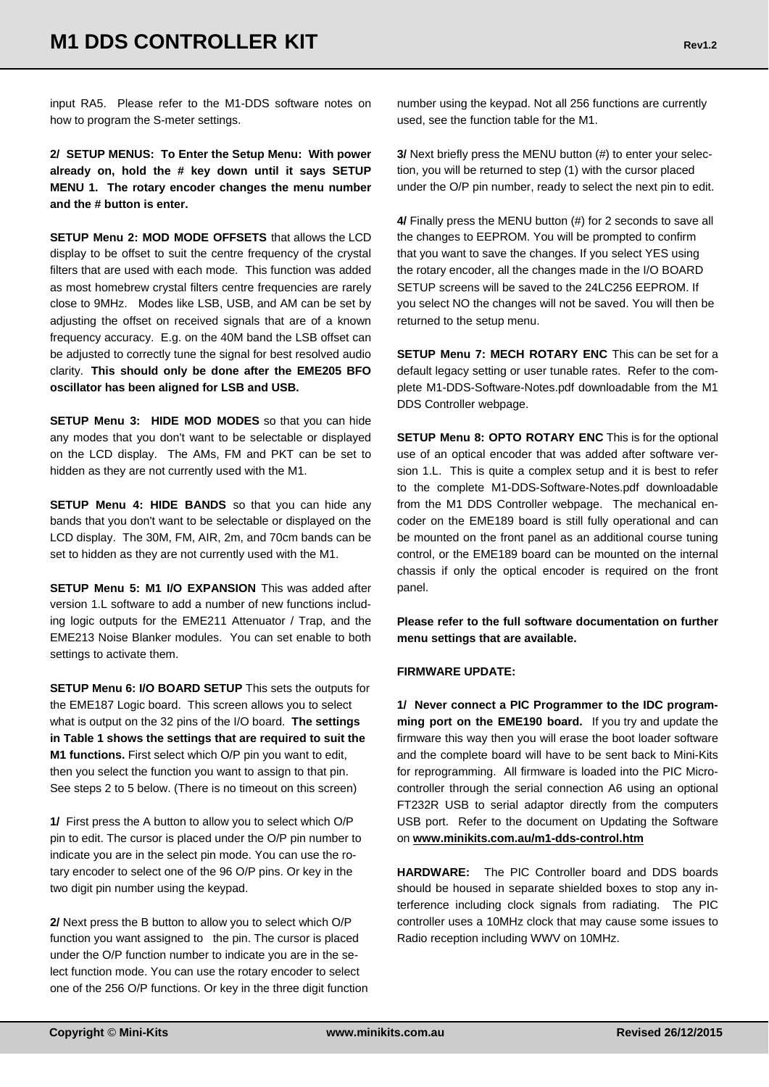input RA5. Please refer to the M1-DDS software notes on how to program the S-meter settings.

**2/ SETUP MENUS: To Enter the Setup Menu: With power already on, hold the # key down until it says SETUP MENU 1. The rotary encoder changes the menu number and the # button is enter.** 

**SETUP Menu 2: MOD MODE OFFSETS** that allows the LCD display to be offset to suit the centre frequency of the crystal filters that are used with each mode. This function was added as most homebrew crystal filters centre frequencies are rarely close to 9MHz. Modes like LSB, USB, and AM can be set by adjusting the offset on received signals that are of a known frequency accuracy. E.g. on the 40M band the LSB offset can be adjusted to correctly tune the signal for best resolved audio clarity. **This should only be done after the EME205 BFO oscillator has been aligned for LSB and USB.** 

**SETUP Menu 3: HIDE MOD MODES** so that you can hide any modes that you don't want to be selectable or displayed on the LCD display. The AMs, FM and PKT can be set to hidden as they are not currently used with the M1.

**SETUP Menu 4: HIDE BANDS** so that you can hide any bands that you don't want to be selectable or displayed on the LCD display. The 30M, FM, AIR, 2m, and 70cm bands can be set to hidden as they are not currently used with the M1.

**SETUP Menu 5: M1 I/O EXPANSION** This was added after version 1.L software to add a number of new functions including logic outputs for the EME211 Attenuator / Trap, and the EME213 Noise Blanker modules. You can set enable to both settings to activate them.

**SETUP Menu 6: I/O BOARD SETUP** This sets the outputs for the EME187 Logic board. This screen allows you to select what is output on the 32 pins of the I/O board. **The settings in Table 1 shows the settings that are required to suit the M1 functions.** First select which O/P pin you want to edit, then you select the function you want to assign to that pin. See steps 2 to 5 below. (There is no timeout on this screen)

**1/** First press the A button to allow you to select which O/P pin to edit. The cursor is placed under the O/P pin number to indicate you are in the select pin mode. You can use the rotary encoder to select one of the 96 O/P pins. Or key in the two digit pin number using the keypad.

**2/** Next press the B button to allow you to select which O/P function you want assigned to the pin. The cursor is placed under the O/P function number to indicate you are in the select function mode. You can use the rotary encoder to select one of the 256 O/P functions. Or key in the three digit function number using the keypad. Not all 256 functions are currently used, see the function table for the M1.

**3/** Next briefly press the MENU button (#) to enter your selection, you will be returned to step (1) with the cursor placed under the O/P pin number, ready to select the next pin to edit.

**4/** Finally press the MENU button (#) for 2 seconds to save all the changes to EEPROM. You will be prompted to confirm that you want to save the changes. If you select YES using the rotary encoder, all the changes made in the I/O BOARD SETUP screens will be saved to the 24LC256 EEPROM. If you select NO the changes will not be saved. You will then be returned to the setup menu.

**SETUP Menu 7: MECH ROTARY ENC** This can be set for a default legacy setting or user tunable rates. Refer to the complete M1-DDS-Software-Notes.pdf downloadable from the M1 DDS Controller webpage.

**SETUP Menu 8: OPTO ROTARY ENC** This is for the optional use of an optical encoder that was added after software version 1.L. This is quite a complex setup and it is best to refer to the complete M1-DDS-Software-Notes.pdf downloadable from the M1 DDS Controller webpage. The mechanical encoder on the EME189 board is still fully operational and can be mounted on the front panel as an additional course tuning control, or the EME189 board can be mounted on the internal chassis if only the optical encoder is required on the front panel.

**Please refer to the full software documentation on further menu settings that are available.** 

#### **FIRMWARE UPDATE:**

**1/ Never connect a PIC Programmer to the IDC programming port on the EME190 board.** If you try and update the firmware this way then you will erase the boot loader software and the complete board will have to be sent back to Mini-Kits for reprogramming. All firmware is loaded into the PIC Microcontroller through the serial connection A6 using an optional FT232R USB to serial adaptor directly from the computers USB port. Refer to the document on Updating the Software on **www.minikits.com.au/m1-dds-control.htm**

**HARDWARE:** The PIC Controller board and DDS boards should be housed in separate shielded boxes to stop any interference including clock signals from radiating. The PIC controller uses a 10MHz clock that may cause some issues to Radio reception including WWV on 10MHz.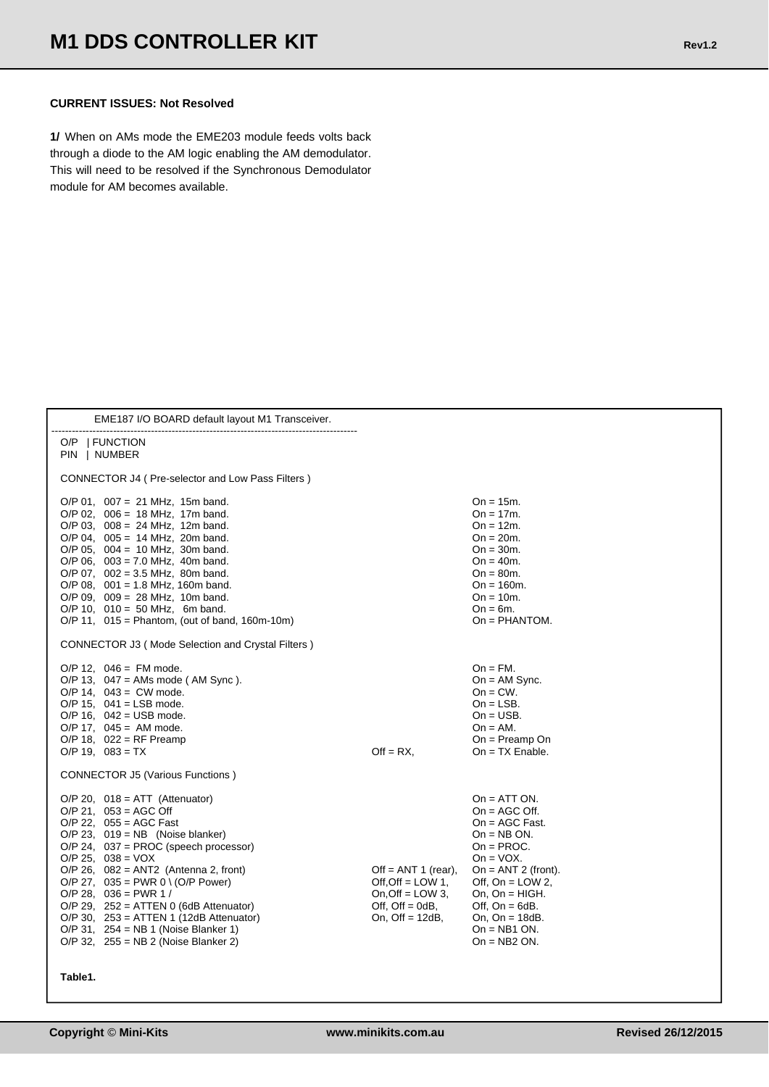#### **CURRENT ISSUES: Not Resolved**

**1/** When on AMs mode the EME203 module feeds volts back through a diode to the AM logic enabling the AM demodulator. This will need to be resolved if the Synchronous Demodulator module for AM becomes available.

| EME187 I/O BOARD default layout M1 Transceiver.                                                                                                                                                                                                                                                                                                                                                                                                                                                                                        |                                                                                                              |                                                                                                                                                                                                                                                               |
|----------------------------------------------------------------------------------------------------------------------------------------------------------------------------------------------------------------------------------------------------------------------------------------------------------------------------------------------------------------------------------------------------------------------------------------------------------------------------------------------------------------------------------------|--------------------------------------------------------------------------------------------------------------|---------------------------------------------------------------------------------------------------------------------------------------------------------------------------------------------------------------------------------------------------------------|
| O/P<br><b>FUNCTION</b><br>  NUMBER<br>PIN                                                                                                                                                                                                                                                                                                                                                                                                                                                                                              |                                                                                                              |                                                                                                                                                                                                                                                               |
| <b>CONNECTOR J4 (Pre-selector and Low Pass Filters)</b>                                                                                                                                                                                                                                                                                                                                                                                                                                                                                |                                                                                                              |                                                                                                                                                                                                                                                               |
| $O/P$ 01, 007 = 21 MHz, 15m band.<br>$O/P$ 02, 006 = 18 MHz, 17m band.<br>$O/P$ 03, 008 = 24 MHz, 12m band.<br>$O/P$ 04, 005 = 14 MHz, 20m band.<br>O/P 05, $004 = 10$ MHz, 30m band.<br>$O/P$ 06, 003 = 7.0 MHz, 40m band.<br>$O/P$ 07, 002 = 3.5 MHz, 80m band.<br>$O/P$ 08, 001 = 1.8 MHz, 160m band.<br>$O/P$ 09, 009 = 28 MHz, 10m band.<br>$O/P$ 10, 010 = 50 MHz, 6m band.<br>$O/P$ 11, $015 = Phantom$ , (out of band, 160m-10m)<br><b>CONNECTOR J3 (Mode Selection and Crystal Filters)</b>                                   |                                                                                                              | $On = 15m$ .<br>$On = 17m$ .<br>$On = 12m$ .<br>$On = 20m$ .<br>$On = 30m$ .<br>$On = 40m$ .<br>$On = 80m$ .<br>$On = 160m$ .<br>$On = 10m$ .<br>$On = 6m$ .<br>$On = PHANTOM.$                                                                               |
| $O/P$ 12, 046 = FM mode.<br>O/P 13, $047 = AMs$ mode (AM Sync).<br>$O/P$ 14, 043 = CW mode.<br>$O/P$ 15, 041 = LSB mode.<br>$O/P$ 16, 042 = USB mode.<br>$O/P$ 17, 045 = AM mode.<br>O/P 18, $022 = RF$ Preamp<br>$O/P$ 19, 083 = TX                                                                                                                                                                                                                                                                                                   | $Off = RX$                                                                                                   | $On = FM$ .<br>$On = AM$ Sync.<br>$On = CW$ .<br>$On = LSB$ .<br>$On = USB$ .<br>$On = AM$ .<br>$On = Preamp$ On<br>$On = TX$ Enable.                                                                                                                         |
| <b>CONNECTOR J5 (Various Functions)</b><br>$O/P$ 20, 018 = ATT (Attenuator)<br>$O/P$ 21, 053 = AGC Off<br>$O/P$ 22, 055 = AGC Fast<br>$O/P$ 23, 019 = NB (Noise blanker)<br>$O/P$ 24, 037 = PROC (speech processor)<br>$O/P$ 25, 038 = VOX<br>$O/P$ 26, $082 = ANT2$ (Antenna 2, front)<br>O/P 27, $035 = PWR$ 0 \ (O/P Power)<br>$O/P$ 28, 036 = PWR 1 /<br>$O/P$ 29, 252 = ATTEN 0 (6dB Attenuator)<br>$O/P$ 30, 253 = ATTEN 1 (12dB Attenuator)<br>$O/P$ 31, 254 = NB 1 (Noise Blanker 1)<br>$O/P$ 32, 255 = NB 2 (Noise Blanker 2) | Off = $ANT 1$ (rear),<br>Off, Off = LOW 1,<br>On, Off $=$ LOW 3.<br>Off, $Off = OdB$ ,<br>On, Off $= 12dB$ , | $On = ATT ON$ .<br>$On = AGC$ Off.<br>$On = AGC$ Fast.<br>$On = NB ON$ .<br>$On = PROC.$<br>$On = VOX$ .<br>On = $ANT 2$ (front).<br>Off, $On = LOW 2$ ,<br>On, $On = HIGH$ .<br>Off, $On = 6dB$ .<br>On, $On = 18dB$ .<br>$On = NB1 ON$ .<br>$On = NB2 ON$ . |

**Table1.**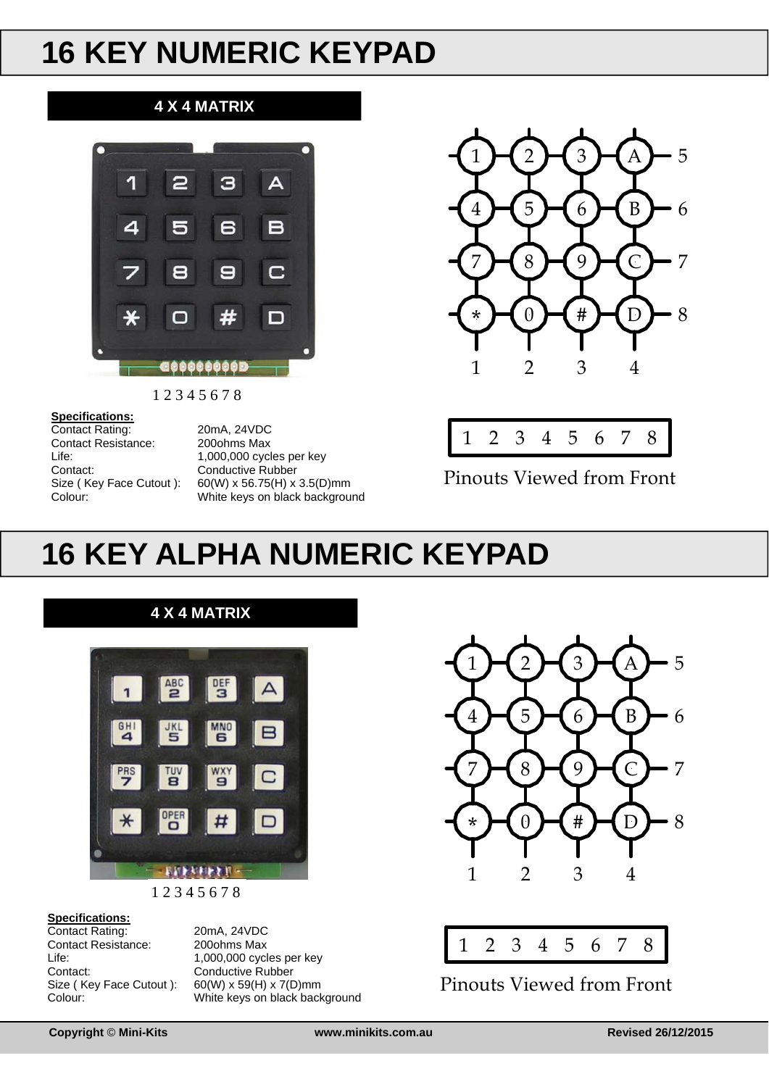# **16 KEY NUMERIC KEYPAD**

#### **4 X 4 MATRIX**



1 2 3 4 5 6 7 8

#### **Specifications:**

Contact Rating: 20mA, 24VDC Contact Resistance: 200ohms Max Contact: Conductive Rubber

Life: 1,000,000 cycles per key Size ( Key Face Cutout ): 60(W) x 56.75(H) x 3.5(D)mm Colour: White keys on black background





Pinouts Viewed from Front

## **16 KEY ALPHA NUMERIC KEYPAD**



1 2 3 4 5 6 7 8

#### **Specifications:**

Contact Rating: 20mA, 24VDC Contact Resistance: 200ohms Max<br>life: 1 000 000 cycl Life: 1,000,000 cycles per key<br>Contact: Conductive Rubber Size ( Key Face Cutout ): 60(W) x 59(H) x 7(D)mm

Conductive Rubber Colour: White keys on black background





Pinouts Viewed from Front

**Copyright © Mini-Kits www.minikits.com.au Revised 26/12/2015**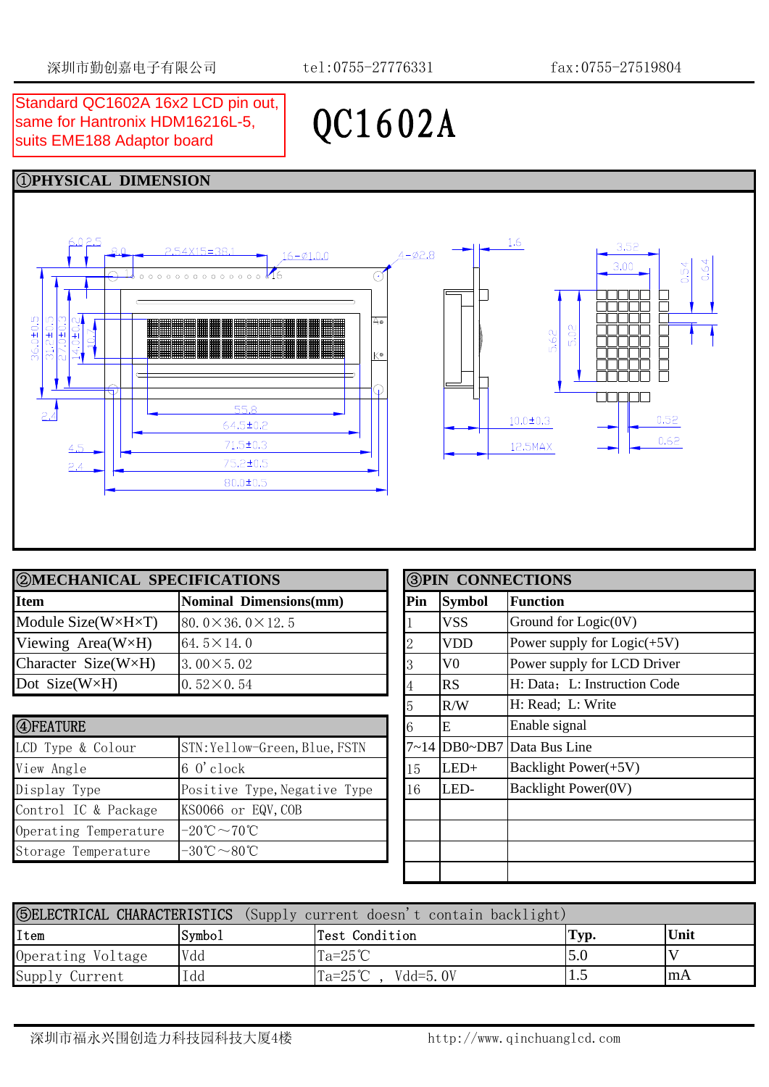QC1602A

## same for Hantronix HDM16216L-5, suits EME188 Adaptor board



| <b>2 MECHANICAL SPECIFICATIONS</b> |                                |  | <b>3PIN CONNECTIONS</b> |                |                               |  |
|------------------------------------|--------------------------------|--|-------------------------|----------------|-------------------------------|--|
| <b>Item</b>                        | <b>Nominal Dimensions(mm)</b>  |  | <b>Pin</b>              | <b>Symbol</b>  | Function                      |  |
| Module $Size(W \times H \times T)$ | $80.0 \times 36.0 \times 12.5$ |  |                         | <b>VSS</b>     | Ground for $Logic(0V)$        |  |
| Viewing $Area(W \times H)$         | 64.5 $\times$ 14.0             |  |                         | <b>VDD</b>     | Power supply for $Logic(+5V)$ |  |
| Character Size(W×H)                | $3.00 \times 5.02$             |  |                         | V <sub>0</sub> | Power supply for LCD Driver   |  |
| Dot $Size(W \times H)$             | $0.52 \times 0.54$             |  |                         | <b>IRS</b>     | H: Data; L: Instruction Code  |  |

| 4 FEATURE             |                                               |  |    | E      | Enable signal                |
|-----------------------|-----------------------------------------------|--|----|--------|------------------------------|
| LCD Type & Colour     | STN: Yellow-Green, Blue, FSTN                 |  |    |        | $7~14$ DB0~DB7 Data Bus Line |
| View Angle            | $60$ clock                                    |  | 15 | $LED+$ | Backlight Power(+5V)         |
| Display Type          | Positive Type, Negative Type                  |  | 16 | LED-   | <b>Backlight Power(0V)</b>   |
| Control IC & Package  | KS0066 or EQV, COB                            |  |    |        |                              |
| Operating Temperature | $-20^{\circ}\text{C} \sim 70^{\circ}\text{C}$ |  |    |        |                              |
| Storage Temperature   | $-30^{\circ}\text{C} \sim 80^{\circ}\text{C}$ |  |    |        |                              |

|                | PIN CONNECTIONS |                               |  |  |
|----------------|-----------------|-------------------------------|--|--|
| Pin            | <b>Symbol</b>   | <b>Function</b>               |  |  |
|                | <b>VSS</b>      | Ground for $Logic(0V)$        |  |  |
| $\overline{2}$ | <b>VDD</b>      | Power supply for $Logic(+5V)$ |  |  |
| 3              | $_{\rm V0}$     | Power supply for LCD Driver   |  |  |
| $\overline{4}$ | <b>RS</b>       | H: Data: L: Instruction Code  |  |  |
| 5              | R/W             | H: Read; L: Write             |  |  |
| 6              | Е               | Enable signal                 |  |  |
| $7 - 14$       | DB0~DB7         | Data Bus Line                 |  |  |
| 15             | $LED+$          | Backlight Power(+5V)          |  |  |
| 16             | LED-            | Backlight Power(0V)           |  |  |
|                |                 |                               |  |  |
|                |                 |                               |  |  |
|                |                 |                               |  |  |
|                |                 |                               |  |  |

| <b>SELECTRICAL CHARACTERISTICS</b> (Supply current doesn't contain backlight) |        |                             |      |       |
|-------------------------------------------------------------------------------|--------|-----------------------------|------|-------|
| Item                                                                          | Symbo1 | Test Condition              | Typ. | Unit  |
| Operating Voltage                                                             | Vdd    | $Ta=25^{\circ}C$            | 5.0  |       |
| Supply Current                                                                | Idd    | $Ta=25^{\circ}C$ , Vdd=5.0V |      | l m A |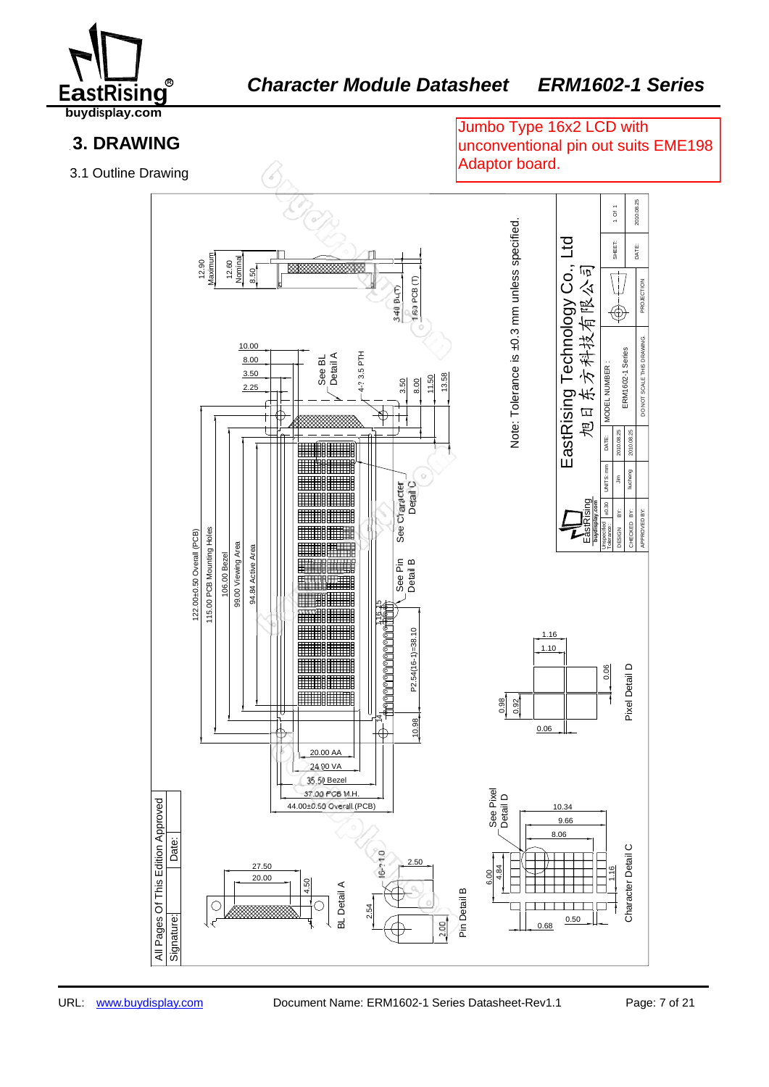

### EA *Character Module Datasheet ERM1602-1 Series*

**buydisplay.com**

### **3. DRAWING**

3.1 Outline Drawing

Jumbo Type 16x2 LCD with unconventional pin out suits EME198 Adaptor board.